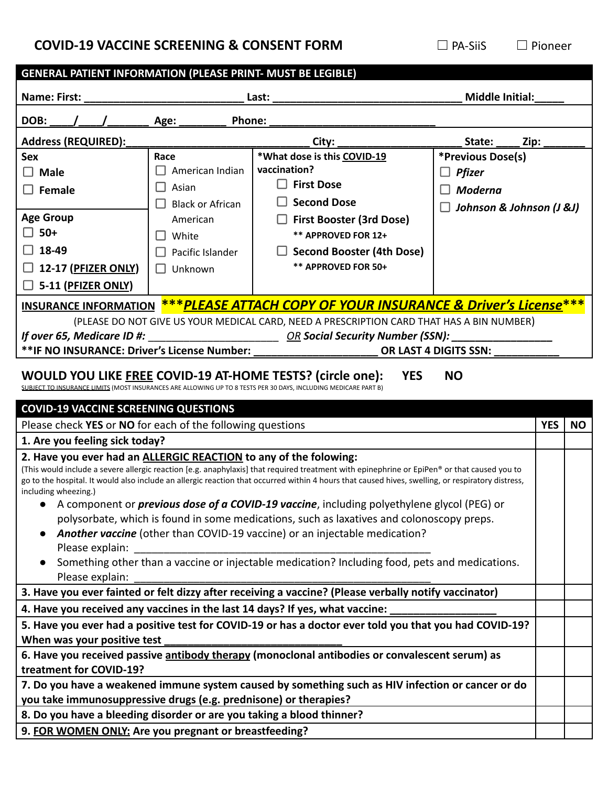## **COVID-19 VACCINE SCREENING & CONSENT FORM** □ PA-SiiS □ Pioneer

| <b>GENERAL PATIENT INFORMATION (PLEASE PRINT- MUST BE LEGIBLE)</b>                                                              |                                                                                                                        |                                                                                                                                                                                                                                                                                                                                                                                                                                                                                                                                                                                                                                                                                       |                                                                                  |            |           |
|---------------------------------------------------------------------------------------------------------------------------------|------------------------------------------------------------------------------------------------------------------------|---------------------------------------------------------------------------------------------------------------------------------------------------------------------------------------------------------------------------------------------------------------------------------------------------------------------------------------------------------------------------------------------------------------------------------------------------------------------------------------------------------------------------------------------------------------------------------------------------------------------------------------------------------------------------------------|----------------------------------------------------------------------------------|------------|-----------|
| <b>Name: First:</b>                                                                                                             | Last:                                                                                                                  |                                                                                                                                                                                                                                                                                                                                                                                                                                                                                                                                                                                                                                                                                       | <b>Middle Initial:</b>                                                           |            |           |
| DOB:                                                                                                                            | Phone:<br>Age:                                                                                                         |                                                                                                                                                                                                                                                                                                                                                                                                                                                                                                                                                                                                                                                                                       |                                                                                  |            |           |
| <b>Address (REQUIRED):</b>                                                                                                      |                                                                                                                        | City:                                                                                                                                                                                                                                                                                                                                                                                                                                                                                                                                                                                                                                                                                 | Zip:<br>State:                                                                   |            |           |
| <b>Sex</b><br>$\Box$ Male<br>$\Box$ Female<br><b>Age Group</b><br>$\square$ 50+<br>$\Box$ 18-49<br>$\Box$ 12-17 (PFIZER ONLY)   | Race<br>American Indian<br>Asian<br><b>Black or African</b><br>American<br>White<br>Pacific Islander<br>$\Box$ Unknown | *What dose is this COVID-19<br>vaccination?<br>$\Box$ First Dose<br><b>Second Dose</b><br><b>First Booster (3rd Dose)</b><br>** APPROVED FOR 12+<br><b>Second Booster (4th Dose)</b><br>** APPROVED FOR 50+                                                                                                                                                                                                                                                                                                                                                                                                                                                                           | *Previous Dose(s)<br><b>Pfizer</b><br><b>Moderna</b><br>Johnson & Johnson (J &J) |            |           |
| $\Box$ 5-11 (PFIZER ONLY)                                                                                                       |                                                                                                                        |                                                                                                                                                                                                                                                                                                                                                                                                                                                                                                                                                                                                                                                                                       |                                                                                  |            |           |
| <b>INSURANCE INFORMATION</b><br>If over 65, Medicare ID #:<br>** IF NO INSURANCE: Driver's License Number:                      |                                                                                                                        | <u>***PLEASE ATTACH COPY OF YOUR INSURANCE &amp; Driver's License***</u><br>(PLEASE DO NOT GIVE US YOUR MEDICAL CARD, NEED A PRESCRIPTION CARD THAT HAS A BIN NUMBER)<br><u>OR</u> Social Security Number (SSN):<br>WOULD YOU LIKE FREE COVID-19 AT-HOME TESTS? (circle one):<br><b>YES</b>                                                                                                                                                                                                                                                                                                                                                                                           | OR LAST 4 DIGITS SSN:<br><b>NO</b>                                               |            |           |
|                                                                                                                                 |                                                                                                                        | SUBJECT TO INSURANCE LIMITS (MOST INSURANCES ARE ALLOWING UP TO 8 TESTS PER 30 DAYS, INCLUDING MEDICARE PART B)                                                                                                                                                                                                                                                                                                                                                                                                                                                                                                                                                                       |                                                                                  |            |           |
| <b>COVID-19 VACCINE SCREENING QUESTIONS</b>                                                                                     |                                                                                                                        |                                                                                                                                                                                                                                                                                                                                                                                                                                                                                                                                                                                                                                                                                       |                                                                                  |            |           |
| Please check YES or NO for each of the following questions                                                                      |                                                                                                                        |                                                                                                                                                                                                                                                                                                                                                                                                                                                                                                                                                                                                                                                                                       |                                                                                  | <b>YES</b> | <b>NO</b> |
| 1. Are you feeling sick today?                                                                                                  |                                                                                                                        |                                                                                                                                                                                                                                                                                                                                                                                                                                                                                                                                                                                                                                                                                       |                                                                                  |            |           |
| 2. Have you ever had an ALLERGIC REACTION to any of the folowing:<br>including wheezing.)<br>Please explain:<br>Please explain: |                                                                                                                        | (This would include a severe allergic reaction [e.g. anaphylaxis] that required treatment with epinephrine or EpiPen® or that caused you to<br>go to the hospital. It would also include an allergic reaction that occurred within 4 hours that caused hives, swelling, or respiratory distress,<br>• A component or <i>previous dose of a COVID-19 vaccine</i> , including polyethylene glycol (PEG) or<br>polysorbate, which is found in some medications, such as laxatives and colonoscopy preps.<br>Another vaccine (other than COVID-19 vaccine) or an injectable medication?<br>Something other than a vaccine or injectable medication? Including food, pets and medications. |                                                                                  |            |           |
|                                                                                                                                 |                                                                                                                        | 3. Have you ever fainted or felt dizzy after receiving a vaccine? (Please verbally notify vaccinator)                                                                                                                                                                                                                                                                                                                                                                                                                                                                                                                                                                                 |                                                                                  |            |           |
|                                                                                                                                 |                                                                                                                        | 4. Have you received any vaccines in the last 14 days? If yes, what vaccine:                                                                                                                                                                                                                                                                                                                                                                                                                                                                                                                                                                                                          |                                                                                  |            |           |
|                                                                                                                                 |                                                                                                                        | 5. Have you ever had a positive test for COVID-19 or has a doctor ever told you that you had COVID-19?                                                                                                                                                                                                                                                                                                                                                                                                                                                                                                                                                                                |                                                                                  |            |           |
| When was your positive test                                                                                                     |                                                                                                                        | 6. Have you received passive antibody therapy (monoclonal antibodies or convalescent serum) as                                                                                                                                                                                                                                                                                                                                                                                                                                                                                                                                                                                        |                                                                                  |            |           |
| treatment for COVID-19?                                                                                                         |                                                                                                                        |                                                                                                                                                                                                                                                                                                                                                                                                                                                                                                                                                                                                                                                                                       |                                                                                  |            |           |
| you take immunosuppressive drugs (e.g. prednisone) or therapies?                                                                |                                                                                                                        | 7. Do you have a weakened immune system caused by something such as HIV infection or cancer or do                                                                                                                                                                                                                                                                                                                                                                                                                                                                                                                                                                                     |                                                                                  |            |           |
| 8. Do you have a bleeding disorder or are you taking a blood thinner?                                                           |                                                                                                                        |                                                                                                                                                                                                                                                                                                                                                                                                                                                                                                                                                                                                                                                                                       |                                                                                  |            |           |
| 9. FOR WOMEN ONLY: Are you pregnant or breastfeeding?                                                                           |                                                                                                                        |                                                                                                                                                                                                                                                                                                                                                                                                                                                                                                                                                                                                                                                                                       |                                                                                  |            |           |